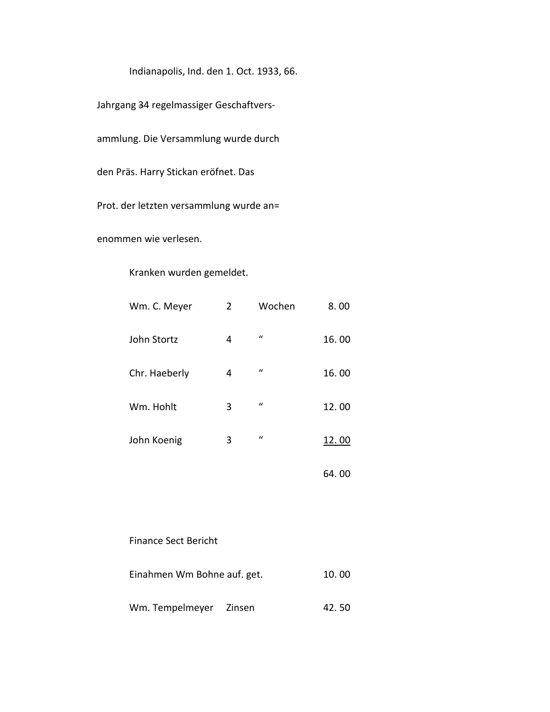Indianapolis, Ind. den 1. Oct. 1933, 66.

Jahrgang 34 regelmassiger Geschaftvers-

ammlung. Die Versammlung wurde durch

den Präs. Harry Stickan eröfnet. Das

Prot. der letzten versammlung wurde an=

enommen wie verlesen.

## Kranken wurden gemeldet.

| Wm. C. Meyer  | $\overline{2}$ | Wochen        | 8.00  |
|---------------|----------------|---------------|-------|
| John Stortz   | 4              | $\mathcal{U}$ | 16.00 |
| Chr. Haeberly | 4              | $\mathcal{U}$ | 16.00 |
| Wm. Hohlt     | 3              | $\mathcal{U}$ | 12.00 |
| John Koenig   | 3              | $\mathcal{U}$ | 12.00 |
|               |                |               | 64.00 |

## Finance Sect Bericht

| Einahmen Wm Bohne auf. get. |  | 10.00 |
|-----------------------------|--|-------|
| Wm. Tempelmeyer Zinsen      |  | 42.50 |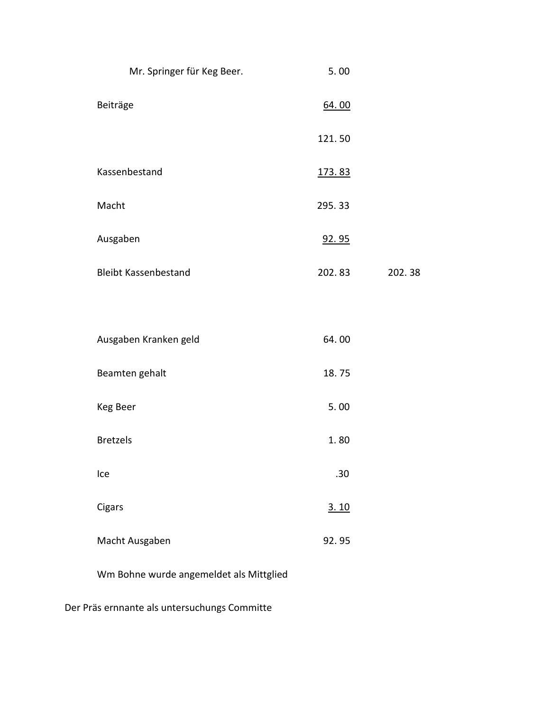| Mr. Springer für Keg Beer.  | 5.00   |        |
|-----------------------------|--------|--------|
| Beiträge                    | 64.00  |        |
|                             | 121.50 |        |
| Kassenbestand               | 173.83 |        |
| Macht                       | 295.33 |        |
| Ausgaben                    | 92.95  |        |
| <b>Bleibt Kassenbestand</b> | 202.83 | 202.38 |
|                             |        |        |
| Ausgaben Kranken geld       | 64.00  |        |
| Beamten gehalt              | 18.75  |        |
| Keg Beer                    | 5.00   |        |
| <b>Bretzels</b>             | 1.80   |        |
| Ice                         | .30    |        |
| Cigars                      | 3.10   |        |
| Macht Ausgaben              | 92.95  |        |
|                             |        |        |

Wm Bohne wurde angemeldet als Mittglied

Der Präs ernnante als untersuchungs Committe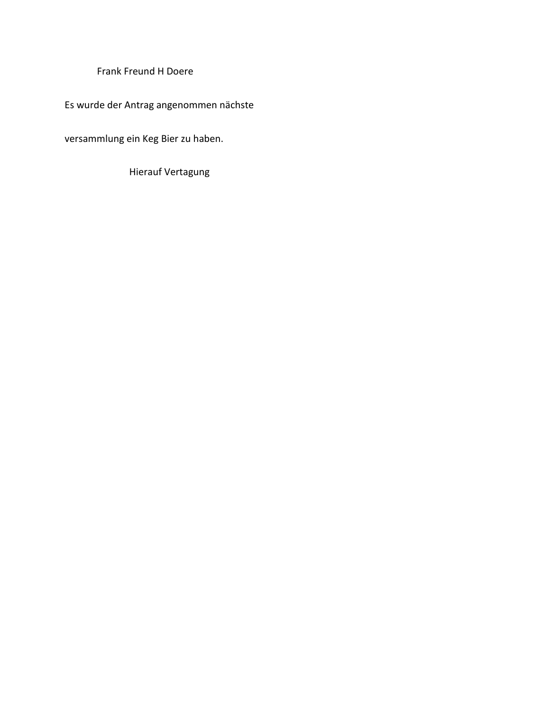Frank Freund H Doere

Es wurde der Antrag angenommen nächste

versammlung ein Keg Bier zu haben.

**Hierauf Vertagung**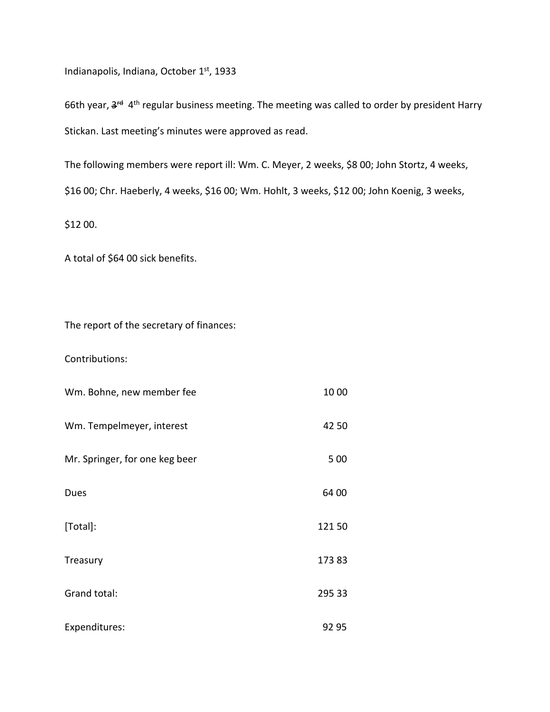Indianapolis, Indiana, October 1st, 1933

66th year,  $3<sup>rd</sup> 4<sup>th</sup>$  regular business meeting. The meeting was called to order by president Harry Stickan. Last meeting's minutes were approved as read.

The following members were report ill: Wm. C. Meyer, 2 weeks, \$8 00; John Stortz, 4 weeks, \$16 00; Chr. Haeberly, 4 weeks, \$16 00; Wm. Hohlt, 3 weeks, \$12 00; John Koenig, 3 weeks,

\$12 00.

A total of \$64 00 sick benefits.

The report of the secretary of finances:

Contributions:

| Wm. Bohne, new member fee      | 10 00  |
|--------------------------------|--------|
| Wm. Tempelmeyer, interest      | 42 50  |
| Mr. Springer, for one keg beer | 5 0 0  |
| Dues                           | 64 00  |
| [Total]:                       | 12150  |
| Treasury                       | 17383  |
| Grand total:                   | 295 33 |
| Expenditures:                  | 92 95  |